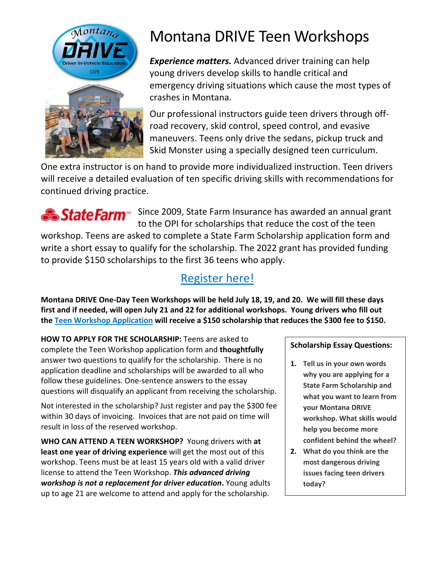

# Montana DRIVE Teen Workshops

*Experience matters.* Advanced driver training can help young drivers develop skills to handle critical and emergency driving situations which cause the most types of crashes in Montana.

Our professional instructors guide teen drivers through offroad recovery, skid control, speed control, and evasive maneuvers. Teens only drive the sedans, pickup truck and Skid Monster using a specially designed teen curriculum.

One extra instructor is on hand to provide more individualized instruction. Teen drivers will receive a detailed evaluation of ten specific driving skills with recommendations for continued driving practice.



State Farm<sup>®</sup> Since 2009, State Farm Insurance has awarded an annual grant to the OPI for scholarships that reduce the cost of the teen

workshop. Teens are asked to complete a State Farm Scholarship application form and write a short essay to qualify for the scholarship. The 2022 grant has provided funding to provide \$150 scholarships to the first 36 teens who apply.

# [Register here!](http://opi.mt.gov/Families-Students/Family-Student-Support/Driver-Education/Montana-DRIVE-Summer-Workshops/Montana-DRIVE-Teen-Workshop-Application)

**Montana DRIVE One-Day Teen Workshops will be held July 18, 19, and 20. We will fill these days first and if needed, will open July 21 and 22 for additional workshops. Young drivers who fill out the [Teen Workshop Application](http://opi.mt.gov/Families-Students/Family-Student-Support/Driver-Education/Montana-DRIVE-Summer-Workshops/Montana-DRIVE-Teen-Workshop-Application) will receive a \$150 scholarship that reduces the \$300 fee to \$150.**

**HOW TO APPLY FOR THE SCHOLARSHIP:** Teens are asked to complete the Teen Workshop application form and **thoughtfully** answer two questions to qualify for the scholarship. There is no application deadline and scholarships will be awarded to all who follow these guidelines. One-sentence answers to the essay questions will disqualify an applicant from receiving the scholarship.

Not interested in the scholarship? Just register and pay the \$300 fee within 30 days of invoicing. Invoices that are not paid on time will result in loss of the reserved workshop.

**WHO CAN ATTEND A TEEN WORKSHOP?** Young drivers with **at least one year of driving experience** will get the most out of this workshop. Teens must be at least 15 years old with a valid driver license to attend the Teen Workshop. *This advanced driving workshop is not a replacement for driver education***.** Young adults up to age 21 are welcome to attend and apply for the scholarship.

**Scholarship Essay Questions:** 

- **1. Tell us in your own words why you are applying for a State Farm Scholarship and what you want to learn from your Montana DRIVE workshop. What skills would help you become more confident behind the wheel?**
- **2. What do you think are the most dangerous driving issues facing teen drivers today?**